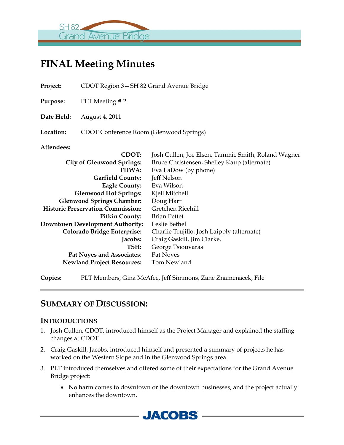

# **FINAL Meeting Minutes**

**Project:** CDOT Region 3—SH 82 Grand Avenue Bridge

**Purpose:** PLT Meeting # 2

**Date Held:** August 4, 2011

**Location:** CDOT Conference Room (Glenwood Springs)

**Attendees:**

| <b>CDOT:</b>                             | Josh Cullen, Joe Elsen, Tammie Smith, Roland Wagner |
|------------------------------------------|-----------------------------------------------------|
| <b>City of Glenwood Springs:</b>         | Bruce Christensen, Shelley Kaup (alternate)         |
| <b>FHWA:</b>                             | Eva LaDow (by phone)                                |
| <b>Garfield County:</b>                  | Jeff Nelson                                         |
| <b>Eagle County:</b>                     | Eva Wilson                                          |
| <b>Glenwood Hot Springs:</b>             | Kjell Mitchell                                      |
| <b>Glenwood Springs Chamber:</b>         | Doug Harr                                           |
| <b>Historic Preservation Commission:</b> | Gretchen Ricehill                                   |
| <b>Pitkin County:</b>                    | <b>Brian Pettet</b>                                 |
| <b>Downtown Development Authority:</b>   | Leslie Bethel                                       |
| Colorado Bridge Enterprise:              | Charlie Trujillo, Josh Laipply (alternate)          |
| Jacobs:                                  | Craig Gaskill, Jim Clarke,                          |
| TSH:                                     | George Tsiouvaras                                   |
| Pat Noyes and Associates:                | Pat Noyes                                           |
| <b>Newland Project Resources:</b>        | <b>Tom Newland</b>                                  |
|                                          |                                                     |

**Copies:** PLT Members, Gina McAfee, Jeff Simmons, Zane Znamenacek, File

## **SUMMARY OF DISCUSSION:**

#### **INTRODUCTIONS**

- 1. Josh Cullen, CDOT, introduced himself as the Project Manager and explained the staffing changes at CDOT.
- 2. Craig Gaskill, Jacobs, introduced himself and presented a summary of projects he has worked on the Western Slope and in the Glenwood Springs area.
- 3. PLT introduced themselves and offered some of their expectations for the Grand Avenue Bridge project:
	- No harm comes to downtown or the downtown businesses, and the project actually enhances the downtown.

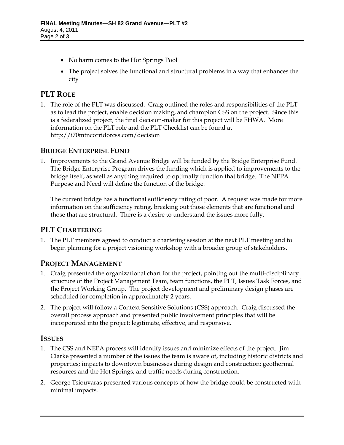- No harm comes to the Hot Springs Pool
- The project solves the functional and structural problems in a way that enhances the city

### **PLT ROLE**

1. The role of the PLT was discussed. Craig outlined the roles and responsibilities of the PLT as to lead the project, enable decision making, and champion CSS on the project. Since this is a federalized project, the final decision-maker for this project will be FHWA. More information on the PLT role and the PLT Checklist can be found at http://i70mtncorridorcss.com/decision

#### **BRIDGE ENTERPRISE FUND**

1. Improvements to the Grand Avenue Bridge will be funded by the Bridge Enterprise Fund. The Bridge Enterprise Program drives the funding which is applied to improvements to the bridge itself, as well as anything required to optimally function that bridge. The NEPA Purpose and Need will define the function of the bridge.

The current bridge has a functional sufficiency rating of poor. A request was made for more information on the sufficiency rating, breaking out those elements that are functional and those that are structural. There is a desire to understand the issues more fully.

#### **PLT CHARTERING**

1. The PLT members agreed to conduct a chartering session at the next PLT meeting and to begin planning for a project visioning workshop with a broader group of stakeholders.

#### **PROJECT MANAGEMENT**

- 1. Craig presented the organizational chart for the project, pointing out the multi-disciplinary structure of the Project Management Team, team functions, the PLT, Issues Task Forces, and the Project Working Group. The project development and preliminary design phases are scheduled for completion in approximately 2 years.
- 2. The project will follow a Context Sensitive Solutions (CSS) approach. Craig discussed the overall process approach and presented public involvement principles that will be incorporated into the project: legitimate, effective, and responsive.

#### **ISSUES**

- 1. The CSS and NEPA process will identify issues and minimize effects of the project. Jim Clarke presented a number of the issues the team is aware of, including historic districts and properties; impacts to downtown businesses during design and construction; geothermal resources and the Hot Springs; and traffic needs during construction.
- 2. George Tsiouvaras presented various concepts of how the bridge could be constructed with minimal impacts.